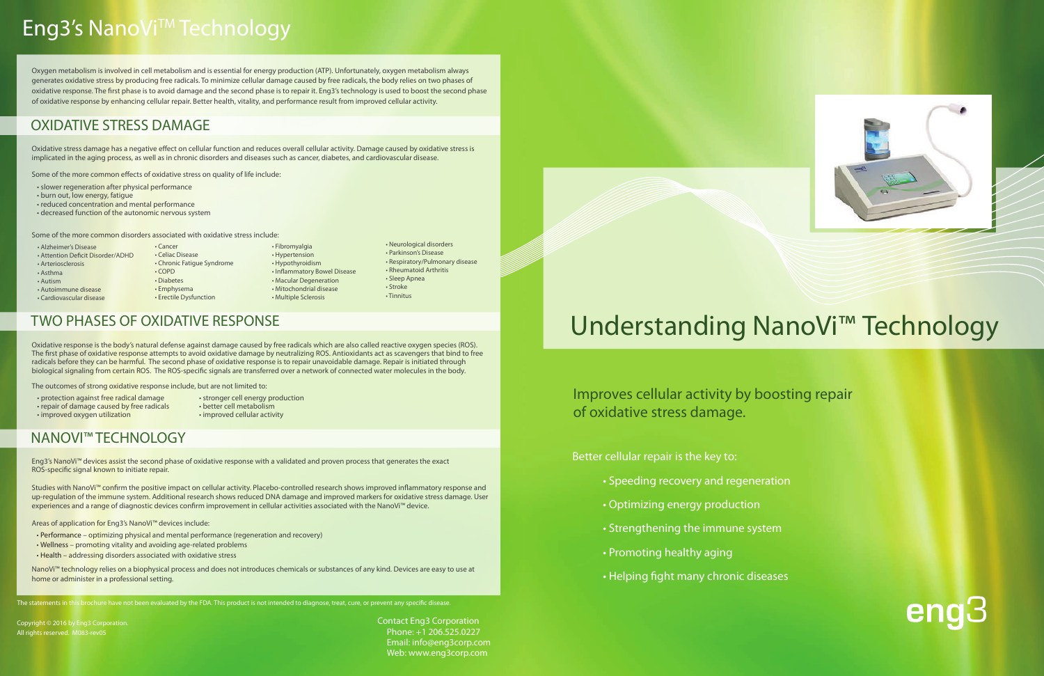

# Understanding NanoVi<sup>™</sup> Technology

Improves cellular activity by boosting repair of oxidative stress damage.

Better cellular repair is the key to:

- Speeding recovery and regeneration
- Optimizing energy production
- Strengthening the immune system
- Promoting healthy aging
- Helping fight many chronic diseases

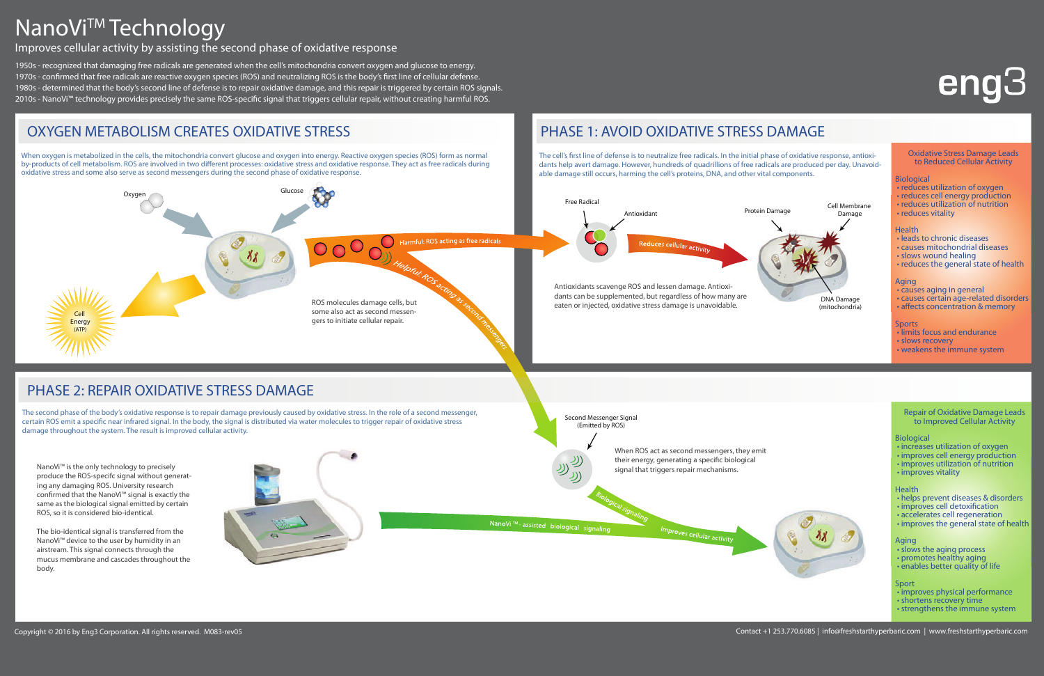The bio-identical signal is transferred The bio-identical signal is transferred from the NanoVi™ device to the user by humidity in an airstream. This signal connects through the mucus membrane and cascades throughout the body. The body throughout the body.



1950s - recognized that damaging free radicals are generated when the cell's mitochondria convert oxygen and glucose to energy. 1970s - confirmed that free radicals are reactive oxygen species (ROS) and neutralizing ROS is the body's first line of cellular defense. 1980s - determined that the body's second line of defense is to repair oxidative damage, and this repair is triggered by certain ROS signals. 2010s - NanoVi™ technology provides precisely the same ROS-specific signal that triggers cellular repair, without creating harmful ROS.

# NanoVi<sup>™</sup>Technology

Improves cellular activity by assisting the second phase of oxidative response

- slows the aging process
- promotes healthy aging
- enables better quality of life

The second phase of the body's oxidative response is to repair damage previously caused by oxidative stress. In the role of a second messenger, certain ROS emit a specific near infrared signal. In the body, the signal is distributed via water molecules to trigger repair of oxidative stress damage throughout the system. The result is improved cellular activity.

NanoVi™ is the only technology to precisely produce the ROS-specifc signal without generating any damaging ROS. University research confirmed that the NanoVi™ signal is exactly the same as the biological signal emitted by certain ROS, so it is considered bio-identical.

#### OXYGEN METABOLISM CREATES OXIDATIVE STRESS PHASE 1: AVOID OXIDATIVE STRESS DAMAGE When oxygen is metabolized in the cells, the mitochondria convert glucose and oxygen into energy. Reactive oxygen species (ROS) form as normal The cell's first line of defense is to neutralize free radicals. In the initial phase of oxidative response, antioxiby-products of cell metabolism. ROS are involved in two different processes: oxidative stress and oxidative response. They act as free radicals during dants help avert damage. However, hundreds of quadrillions of free radicals are produced per day. Unavoidoxidative stress and some also serve as second messengers during the second phase of oxidative response. able damage still occurs, harming the cell's proteins, DNA, and other vital components. **Oxygen Glucose** Free Radical Protein Damage Antioxidant Harmful: ROS acting as free radicals Antioxidants scavenge ROS and lessen damage. Antioxidants can be supplemented, but regardless of how many are ROS molecules damage cells, but eaten or injected, oxidative stress damage is unavoidable. some also act as second messen-Cell gers to initiate cellular repair. **Energy** (ATP)

#### Second Messenger Signal (Emitted by ROS)







#### **Biological**

- increases utilization of oxygen
- improves cell energy production
- improves utilization of nutrition
- improves vitality

#### **Health**

- helps prevent diseases & disorders
- improves cell detoxification
- accelerates cell regeneration
- improves the general state of health

#### **Aging**

#### **Sport**

- improves physical performance
- shortens recovery time
- strengthens the immune system



#### **Oxidative Stress Damage Leads to Reduced Cellular Activity**

#### **Biological**

- reduces utilization of oxygen
- reduces cell energy production
- reduces utilization of nutrition
- reduces vitality

#### **Health**

- leads to chronic diseases
- causes mitochondrial diseases
- slows wound healing
- reduces the general state of health

#### **Aging**

- causes aging in general
- causes certain age-related disorders
- affects concentration & memory

#### **Sports**

- limits focus and endurance
- slows recovery
- weakens the immune system

When ROS act as second messengers, they emit their energy, generating a specific biological signal that triggers repair mechanisms.

naling<br>Improves cellular activity

NanoVi ™- assisted biological signaling

# **eng3**

## PHASE 2: REPAIR OXIDATIVE STRESS DAMAGE